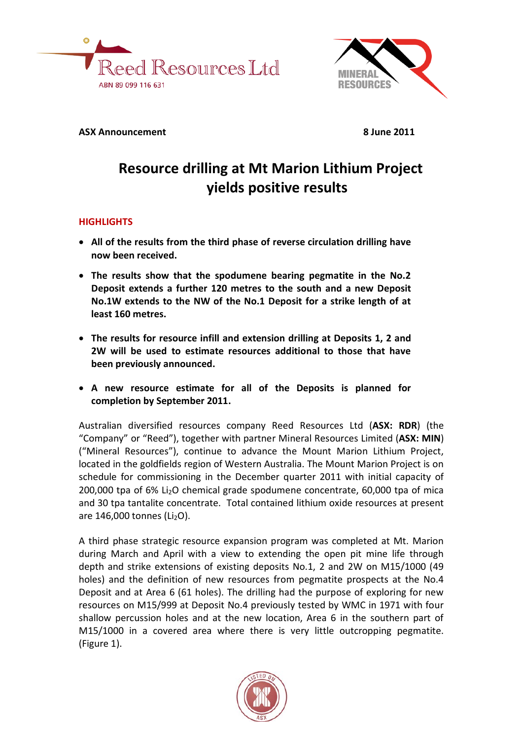



**ASX Announcement** 8 June 2011

# **Resource drilling at Mt Marion Lithium Project yields positive results**

## **HIGHLIGHTS**

- **All of the results from the third phase of reverse circulation drilling have now been received.**
- **The results show that the spodumene bearing pegmatite in the No.2 Deposit extends a further 120 metres to the south and a new Deposit No.1W extends to the NW of the No.1 Deposit for a strike length of at least 160 metres.**
- **The results for resource infill and extension drilling at Deposits 1, 2 and 2W will be used to estimate resources additional to those that have been previously announced.**
- **A new resource estimate for all of the Deposits is planned for completion by September 2011.**

Australian diversified resources company Reed Resources Ltd (**ASX: RDR**) (the "Company" or "Reed"), together with partner Mineral Resources Limited (**ASX: MIN**) ("Mineral Resources"), continue to advance the Mount Marion Lithium Project, located in the goldfields region of Western Australia. The Mount Marion Project is on schedule for commissioning in the December quarter 2011 with initial capacity of 200,000 tpa of 6% Li<sub>2</sub>O chemical grade spodumene concentrate, 60,000 tpa of mica and 30 tpa tantalite concentrate. Total contained lithium oxide resources at present are  $146,000$  tonnes (Li<sub>2</sub>O).

A third phase strategic resource expansion program was completed at Mt. Marion during March and April with a view to extending the open pit mine life through depth and strike extensions of existing deposits No.1, 2 and 2W on M15/1000 (49 holes) and the definition of new resources from pegmatite prospects at the No.4 Deposit and at Area 6 (61 holes). The drilling had the purpose of exploring for new resources on M15/999 at Deposit No.4 previously tested by WMC in 1971 with four shallow percussion holes and at the new location, Area 6 in the southern part of M15/1000 in a covered area where there is very little outcropping pegmatite. (Figure 1).

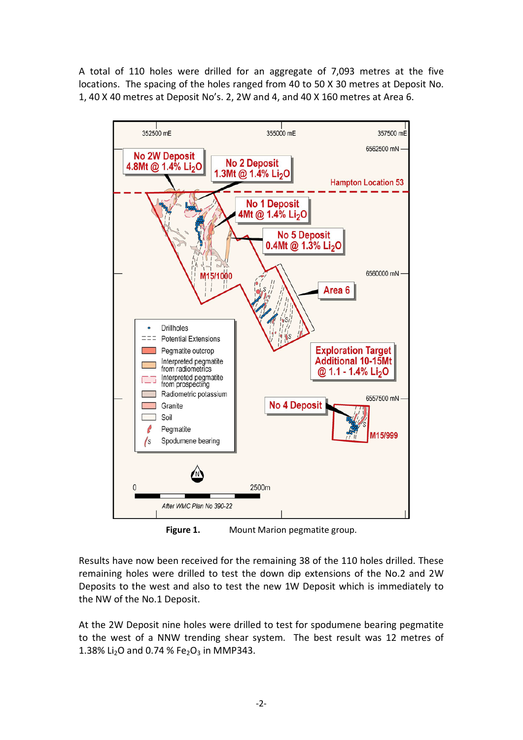A total of 110 holes were drilled for an aggregate of 7,093 metres at the five locations. The spacing of the holes ranged from 40 to 50 X 30 metres at Deposit No. 1, 40 X 40 metres at Deposit No's. 2, 2W and 4, and 40 X 160 metres at Area 6.



**Figure 1.** Mount Marion pegmatite group.

Results have now been received for the remaining 38 of the 110 holes drilled. These remaining holes were drilled to test the down dip extensions of the No.2 and 2W Deposits to the west and also to test the new 1W Deposit which is immediately to the NW of the No.1 Deposit.

At the 2W Deposit nine holes were drilled to test for spodumene bearing pegmatite to the west of a NNW trending shear system. The best result was 12 metres of 1.38% Li<sub>2</sub>O and 0.74 % Fe<sub>2</sub>O<sub>3</sub> in MMP343.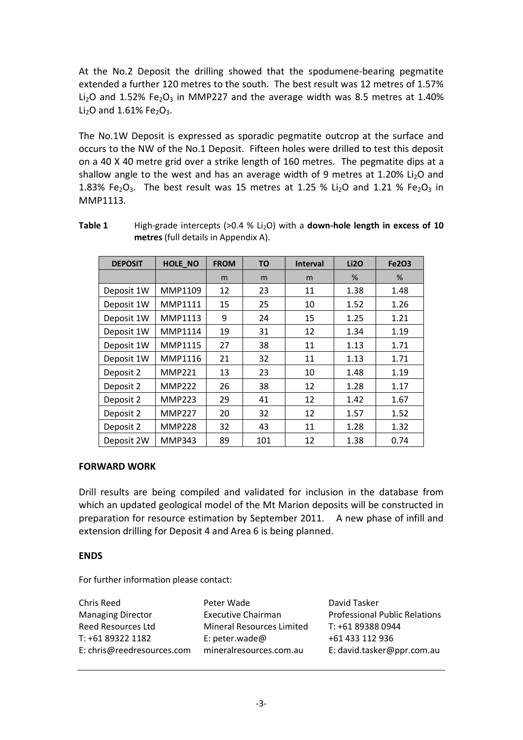At the No.2 Deposit the drilling showed that the spodumene-bearing pegmatite extended a further 120 metres to the south. The best result was 12 metres of 1.57% Li<sub>2</sub>O and 1.52% Fe<sub>2</sub>O<sub>3</sub> in MMP227 and the average width was 8.5 metres at 1.40% Li<sub>2</sub>O and 1.61% Fe<sub>2</sub>O<sub>3</sub>.

The No.1W Deposit is expressed as sporadic pegmatite outcrop at the surface and occurs to the NW of the No.1 Deposit. Fifteen holes were drilled to test this deposit on a 40 X 40 metre grid over a strike length of 160 metres. The pegmatite dips at a shallow angle to the west and has an average width of 9 metres at 1.20% Li<sub>2</sub>O and 1.83% Fe<sub>2</sub>O<sub>3</sub>. The best result was 15 metres at 1.25 % Li<sub>2</sub>O and 1.21 % Fe<sub>2</sub>O<sub>3</sub> in MMP1113.

| <b>DEPOSIT</b> | HOLE_NO        | <b>FROM</b> | <b>TO</b> | <b>Interval</b> | Li2O | <b>Fe2O3</b> |
|----------------|----------------|-------------|-----------|-----------------|------|--------------|
|                |                | m           | m         | m               | %    | %            |
| Deposit 1W     | MMP1109        | 12          | 23        | 11              | 1.38 | 1.48         |
| Deposit 1W     | MMP1111        | 15          | 25        | 10              | 1.52 | 1.26         |
| Deposit 1W     | MMP1113        | 9           | 24        | 15              | 1.25 | 1.21         |
| Deposit 1W     | <b>MMP1114</b> | 19          | 31        | 12              | 1.34 | 1.19         |
| Deposit 1W     | <b>MMP1115</b> | 27          | 38        | 11              | 1.13 | 1.71         |
| Deposit 1W     | MMP1116        | 21          | 32        | 11              | 1.13 | 1.71         |
| Deposit 2      | <b>MMP221</b>  | 13          | 23        | 10              | 1.48 | 1.19         |
| Deposit 2      | <b>MMP222</b>  | 26          | 38        | 12              | 1.28 | 1.17         |
| Deposit 2      | <b>MMP223</b>  | 29          | 41        | 12              | 1.42 | 1.67         |
| Deposit 2      | <b>MMP227</b>  | 20          | 32        | 12              | 1.57 | 1.52         |
| Deposit 2      | <b>MMP228</b>  | 32          | 43        | 11              | 1.28 | 1.32         |
| Deposit 2W     | <b>MMP343</b>  | 89          | 101       | 12              | 1.38 | 0.74         |

**Table 1** High-grade intercepts (>0.4 % Li<sub>2</sub>O) with a **down-hole length in excess of 10 metres** (full details in Appendix A).

### **FORWARD WORK**

Drill results are being compiled and validated for inclusion in the database from which an updated geological model of the Mt Marion deposits will be constructed in preparation for resource estimation by September 2011. A new phase of infill and extension drilling for Deposit 4 and Area 6 is being planned.

#### **ENDS**

For further information please contact:

| Chris Reed                 | Peter Wade                | David Tasker                         |
|----------------------------|---------------------------|--------------------------------------|
| <b>Managing Director</b>   | <b>Executive Chairman</b> | <b>Professional Public Relations</b> |
| <b>Reed Resources Ltd</b>  | Mineral Resources Limited | T: +61 89388 0944                    |
| T: +61 89322 1182          | E: peter.wade@            | +61 433 112 936                      |
| E: chris@reedresources.com | mineralresources.com.au   | E: david.tasker@ppr.com.au           |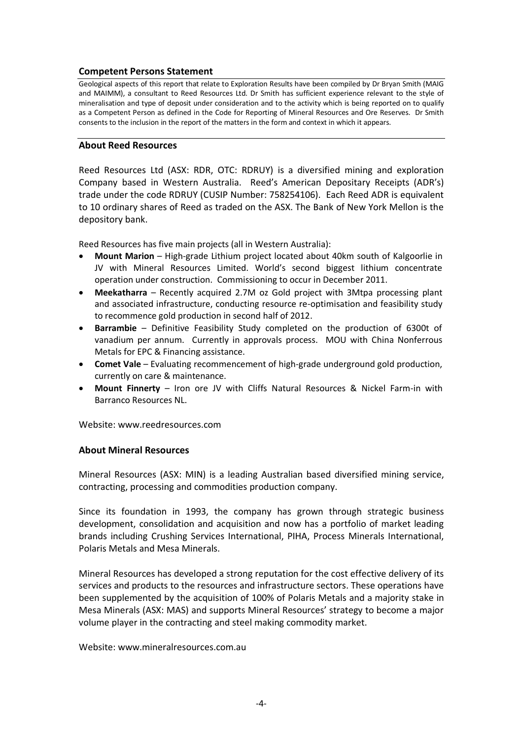### **Competent Persons Statement**

Geological aspects of this report that relate to Exploration Results have been compiled by Dr Bryan Smith (MAIG and MAIMM), a consultant to Reed Resources Ltd. Dr Smith has sufficient experience relevant to the style of mineralisation and type of deposit under consideration and to the activity which is being reported on to qualify as a Competent Person as defined in the Code for Reporting of Mineral Resources and Ore Reserves. Dr Smith consents to the inclusion in the report of the matters in the form and context in which it appears.

#### **About Reed Resources**

Reed Resources Ltd (ASX: RDR, OTC: RDRUY) is a diversified mining and exploration Company based in Western Australia. Reed's American Depositary Receipts (ADR's) trade under the code RDRUY (CUSIP Number: 758254106). Each Reed ADR is equivalent to 10 ordinary shares of Reed as traded on the ASX. The Bank of New York Mellon is the depository bank.

Reed Resources has five main projects (all in Western Australia):

- **Mount Marion**  High-grade Lithium project located about 40km south of Kalgoorlie in JV with Mineral Resources Limited. World's second biggest lithium concentrate operation under construction. Commissioning to occur in December 2011.
- **Meekatharra**  Recently acquired 2.7M oz Gold project with 3Mtpa processing plant and associated infrastructure, conducting resource re-optimisation and feasibility study to recommence gold production in second half of 2012.
- **Barrambie**  Definitive Feasibility Study completed on the production of 6300t of vanadium per annum. Currently in approvals process. MOU with China Nonferrous Metals for EPC & Financing assistance.
- **Comet Vale**  Evaluating recommencement of high-grade underground gold production, currently on care & maintenance.
- **Mount Finnerty**  Iron ore JV with Cliffs Natural Resources & Nickel Farm-in with Barranco Resources NL.

Website: www.reedresources.com

#### **About Mineral Resources**

Mineral Resources (ASX: MIN) is a leading Australian based diversified mining service, contracting, processing and commodities production company.

Since its foundation in 1993, the company has grown through strategic business development, consolidation and acquisition and now has a portfolio of market leading brands including Crushing Services International, PIHA, Process Minerals International, Polaris Metals and Mesa Minerals.

Mineral Resources has developed a strong reputation for the cost effective delivery of its services and products to the resources and infrastructure sectors. These operations have been supplemented by the acquisition of 100% of Polaris Metals and a majority stake in Mesa Minerals (ASX: MAS) and supports Mineral Resources' strategy to become a major volume player in the contracting and steel making commodity market.

Website: www.mineralresources.com.au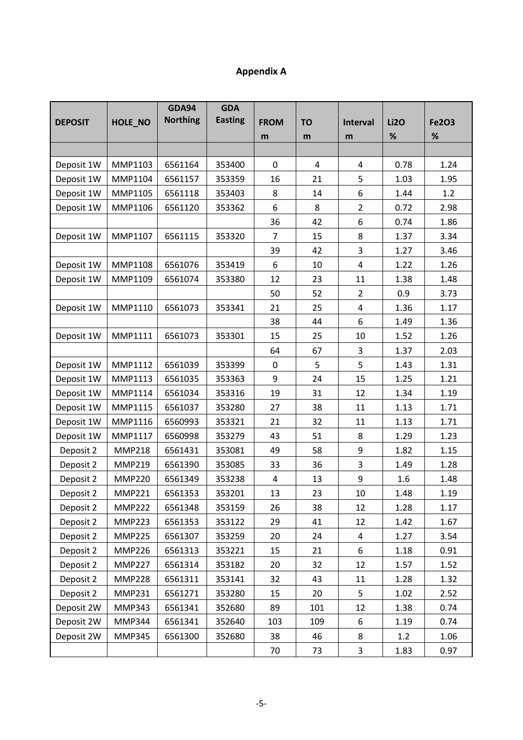## **Appendix A**

|                |               | <b>GDA94</b>    | <b>GDA</b>     |                  |           |                |             |              |
|----------------|---------------|-----------------|----------------|------------------|-----------|----------------|-------------|--------------|
| <b>DEPOSIT</b> | HOLE_NO       | <b>Northing</b> | <b>Easting</b> | <b>FROM</b>      | <b>TO</b> | Interval       | <b>Li2O</b> | <b>Fe2O3</b> |
|                |               |                 |                | m                | m         | m              | %           | $\%$         |
|                |               |                 |                |                  |           |                |             |              |
| Deposit 1W     | MMP1103       | 6561164         | 353400         | 0                | 4         | 4              | 0.78        | 1.24         |
| Deposit 1W     | MMP1104       | 6561157         | 353359         | 16               | 21        | 5              | 1.03        | 1.95         |
| Deposit 1W     | MMP1105       | 6561118         | 353403         | 8                | 14        | 6              | 1.44        | 1.2          |
| Deposit 1W     | MMP1106       | 6561120         | 353362         | 6                | 8         | $\overline{2}$ | 0.72        | 2.98         |
|                |               |                 |                | 36               | 42        | 6              | 0.74        | 1.86         |
| Deposit 1W     | MMP1107       | 6561115         | 353320         | 7                | 15        | 8              | 1.37        | 3.34         |
|                |               |                 |                | 39               | 42        | 3              | 1.27        | 3.46         |
| Deposit 1W     | MMP1108       | 6561076         | 353419         | 6                | 10        | 4              | 1.22        | 1.26         |
| Deposit 1W     | MMP1109       | 6561074         | 353380         | 12               | 23        | 11             | 1.38        | 1.48         |
|                |               |                 |                | 50               | 52        | $\overline{2}$ | 0.9         | 3.73         |
| Deposit 1W     | MMP1110       | 6561073         | 353341         | 21               | 25        | 4              | 1.36        | 1.17         |
|                |               |                 |                | 38               | 44        | 6              | 1.49        | 1.36         |
| Deposit 1W     | MMP1111       | 6561073         | 353301         | 15               | 25        | 10             | 1.52        | 1.26         |
|                |               |                 |                | 64               | 67        | 3              | 1.37        | 2.03         |
| Deposit 1W     | MMP1112       | 6561039         | 353399         | $\boldsymbol{0}$ | 5         | 5              | 1.43        | 1.31         |
| Deposit 1W     | MMP1113       | 6561035         | 353363         | 9                | 24        | 15             | 1.25        | 1.21         |
| Deposit 1W     | MMP1114       | 6561034         | 353316         | 19               | 31        | 12             | 1.34        | 1.19         |
| Deposit 1W     | MMP1115       | 6561037         | 353280         | 27               | 38        | 11             | 1.13        | 1.71         |
| Deposit 1W     | MMP1116       | 6560993         | 353321         | 21               | 32        | 11             | 1.13        | 1.71         |
| Deposit 1W     | MMP1117       | 6560998         | 353279         | 43               | 51        | 8              | 1.29        | 1.23         |
| Deposit 2      | <b>MMP218</b> | 6561431         | 353081         | 49               | 58        | 9              | 1.82        | 1.15         |
| Deposit 2      | <b>MMP219</b> | 6561390         | 353085         | 33               | 36        | 3              | 1.49        | 1.28         |
| Deposit 2      | <b>MMP220</b> | 6561349         | 353238         | 4                | 13        | 9              | 1.6         | 1.48         |
| Deposit 2      | <b>MMP221</b> | 6561353         | 353201         | 13               | 23        | 10             | 1.48        | 1.19         |
| Deposit 2      | <b>MMP222</b> | 6561348         | 353159         | 26               | 38        | 12             | 1.28        | 1.17         |
| Deposit 2      | <b>MMP223</b> | 6561353         | 353122         | 29               | 41        | 12             | 1.42        | 1.67         |
| Deposit 2      | <b>MMP225</b> | 6561307         | 353259         | 20               | 24        | 4              | 1.27        | 3.54         |
| Deposit 2      | <b>MMP226</b> | 6561313         | 353221         | 15               | 21        | 6              | 1.18        | 0.91         |
| Deposit 2      | <b>MMP227</b> | 6561314         | 353182         | 20               | 32        | 12             | 1.57        | 1.52         |
| Deposit 2      | <b>MMP228</b> | 6561311         | 353141         | 32               | 43        | 11             | 1.28        | 1.32         |
| Deposit 2      | <b>MMP231</b> | 6561271         | 353280         | 15               | 20        | 5              | 1.02        | 2.52         |
| Deposit 2W     | <b>MMP343</b> | 6561341         | 352680         | 89               | 101       | 12             | 1.38        | 0.74         |
| Deposit 2W     | <b>MMP344</b> | 6561341         | 352640         | 103              | 109       | 6              | 1.19        | 0.74         |
| Deposit 2W     | <b>MMP345</b> | 6561300         | 352680         | 38               | 46        | 8              | 1.2         | 1.06         |
|                |               |                 |                | 70               | 73        | 3              | 1.83        | 0.97         |